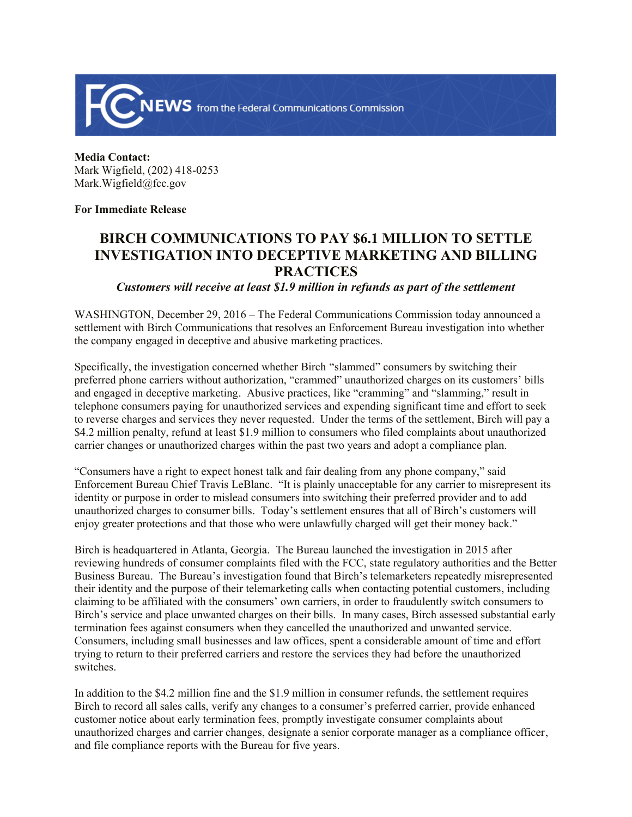

**Media Contact:** Mark Wigfield, (202) 418-0253 Mark.Wigfield@fcc.gov

**For Immediate Release**

## **BIRCH COMMUNICATIONS TO PAY \$6.1 MILLION TO SETTLE INVESTIGATION INTO DECEPTIVE MARKETING AND BILLING PRACTICES**

*Customers will receive at least \$1.9 million in refunds as part of the settlement*

WASHINGTON, December 29, 2016 – The Federal Communications Commission today announced a settlement with Birch Communications that resolves an Enforcement Bureau investigation into whether the company engaged in deceptive and abusive marketing practices.

Specifically, the investigation concerned whether Birch "slammed" consumers by switching their preferred phone carriers without authorization, "crammed" unauthorized charges on its customers' bills and engaged in deceptive marketing. Abusive practices, like "cramming" and "slamming," result in telephone consumers paying for unauthorized services and expending significant time and effort to seek to reverse charges and services they never requested. Under the terms of the settlement, Birch will pay a \$4.2 million penalty, refund at least \$1.9 million to consumers who filed complaints about unauthorized carrier changes or unauthorized charges within the past two years and adopt a compliance plan.

"Consumers have a right to expect honest talk and fair dealing from any phone company," said Enforcement Bureau Chief Travis LeBlanc. "It is plainly unacceptable for any carrier to misrepresent its identity or purpose in order to mislead consumers into switching their preferred provider and to add unauthorized charges to consumer bills. Today's settlement ensures that all of Birch's customers will enjoy greater protections and that those who were unlawfully charged will get their money back."

Birch is headquartered in Atlanta, Georgia. The Bureau launched the investigation in 2015 after reviewing hundreds of consumer complaints filed with the FCC, state regulatory authorities and the Better Business Bureau. The Bureau's investigation found that Birch's telemarketers repeatedly misrepresented their identity and the purpose of their telemarketing calls when contacting potential customers, including claiming to be affiliated with the consumers' own carriers, in order to fraudulently switch consumers to Birch's service and place unwanted charges on their bills. In many cases, Birch assessed substantial early termination fees against consumers when they cancelled the unauthorized and unwanted service. Consumers, including small businesses and law offices, spent a considerable amount of time and effort trying to return to their preferred carriers and restore the services they had before the unauthorized switches.

In addition to the \$4.2 million fine and the \$1.9 million in consumer refunds, the settlement requires Birch to record all sales calls, verify any changes to a consumer's preferred carrier, provide enhanced customer notice about early termination fees, promptly investigate consumer complaints about unauthorized charges and carrier changes, designate a senior corporate manager as a compliance officer, and file compliance reports with the Bureau for five years.